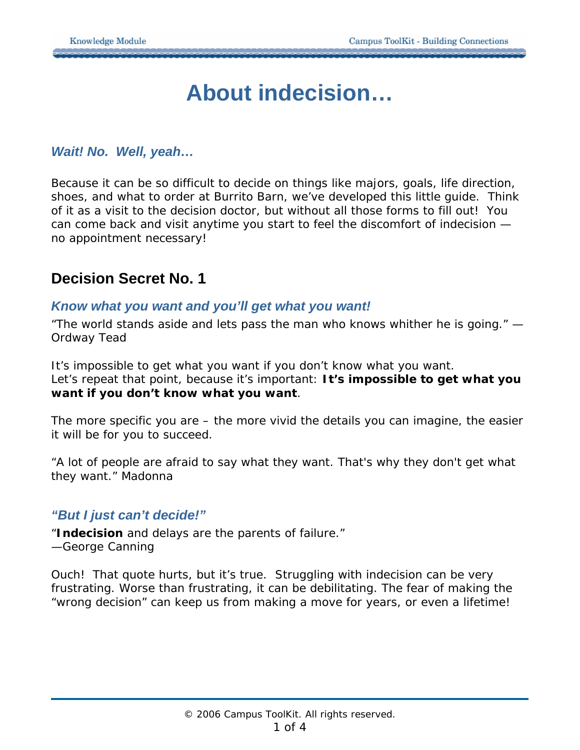# **About indecision…**

#### *Wait! No. Well, yeah…*

Because it can be so difficult to decide on things like majors, goals, life direction, shoes, and what to order at Burrito Barn, we've developed this little guide. Think of it as a visit to the decision doctor, but without all those forms to fill out! You can come back and visit anytime you start to feel the discomfort of indecision no appointment necessary!

### **Decision Secret No. 1**

#### *Know what you want and you'll get what you want!*

*"The world stands aside and lets pass the man who knows whither he is going."* — Ordway Tead

It's impossible to get what you want if you don't know what you want. Let's repeat that point, because it's important: **It's impossible to get what you want if you don't know what you want**.

The more specific you are – the more vivid the details you can imagine, the easier it will be for you to succeed.

*"A lot of people are afraid to say what they want. That's why they don't get what they want." Madonna* 

#### *"But I just can't decide!"*

*"Indecision and delays are the parents of failure." —George Canning* 

Ouch! That quote hurts, but it's true. Struggling with indecision can be very frustrating. Worse than frustrating, it can be debilitating. The fear of making the "wrong decision" can keep us from making a move for years, or even a lifetime!